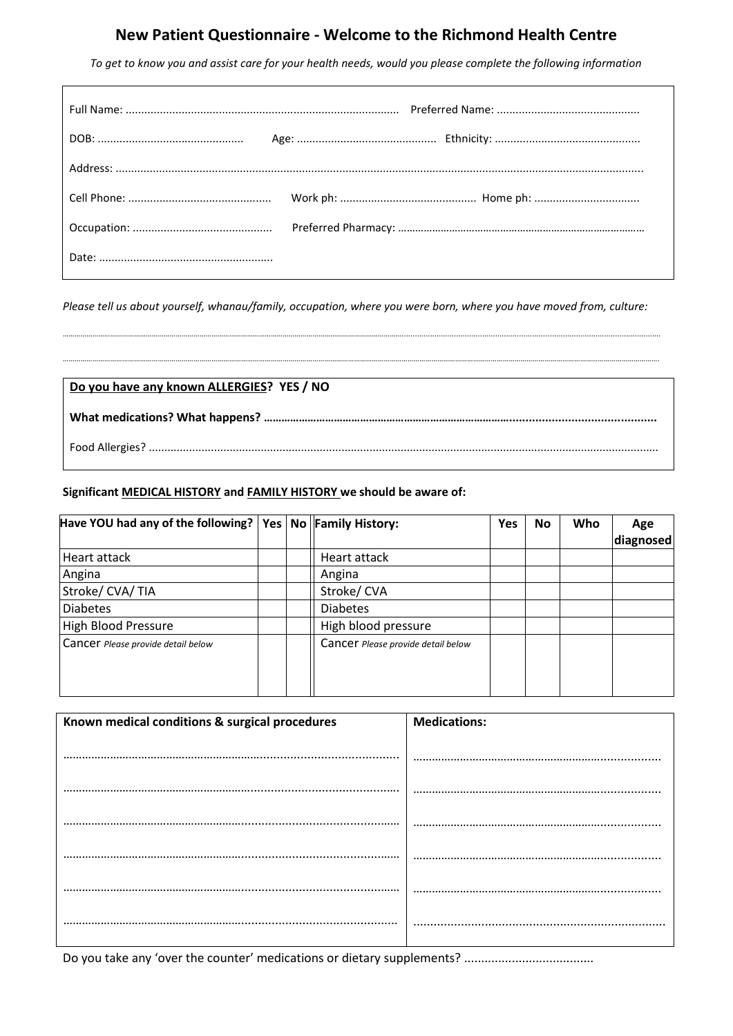## New Patient Questionnaire - Welcome to the Richmond Health Centre

To get to know you and assist care for your health needs, would you please complete the following information

Please tell us about yourself, whanau/family, occupation, where you were born, where you have moved from, culture:

| Do you have any known ALLERGIES? YES / NO |
|-------------------------------------------|
|                                           |
|                                           |

## Significant MEDICAL HISTORY and FAMILY HISTORY we should be aware of:

| Have YOU had any of the following?   Yes   No   Family History: |  |                                    | Yes | No | Who | Age       |
|-----------------------------------------------------------------|--|------------------------------------|-----|----|-----|-----------|
|                                                                 |  |                                    |     |    |     | diagnosed |
| Heart attack                                                    |  | Heart attack                       |     |    |     |           |
| Angina                                                          |  | Angina                             |     |    |     |           |
| Stroke/ CVA/ TIA                                                |  | Stroke/CVA                         |     |    |     |           |
| Diabetes                                                        |  | <b>Diabetes</b>                    |     |    |     |           |
| <b>High Blood Pressure</b>                                      |  | High blood pressure                |     |    |     |           |
| Cancer Please provide detail below                              |  | Cancer Please provide detail below |     |    |     |           |
|                                                                 |  |                                    |     |    |     |           |
|                                                                 |  |                                    |     |    |     |           |
|                                                                 |  |                                    |     |    |     |           |

| Known medical conditions & surgical procedures | <b>Medications:</b> |
|------------------------------------------------|---------------------|
|                                                |                     |
| <br>                                           |                     |
|                                                |                     |
| .                                              |                     |
|                                                |                     |
|                                                |                     |
|                                                |                     |
|                                                | $\cdots$            |
|                                                |                     |
|                                                |                     |
|                                                |                     |
|                                                |                     |
| .                                              |                     |